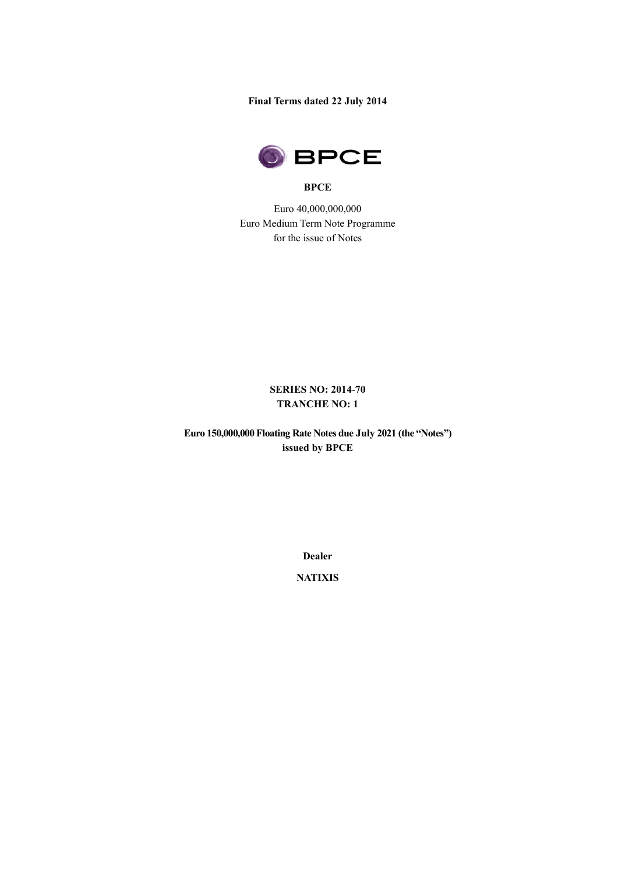**Final Terms dated 22 July 2014**



#### **BPCE**

Euro 40,000,000,000 Euro Medium Term Note Programme for the issue of Notes

# **SERIES NO: 2014-70 TRANCHE NO: 1**

**Euro 150,000,000 Floating Rate Notes due July 2021 (the "Notes") issued by BPCE** 

**Dealer**

**NATIXIS**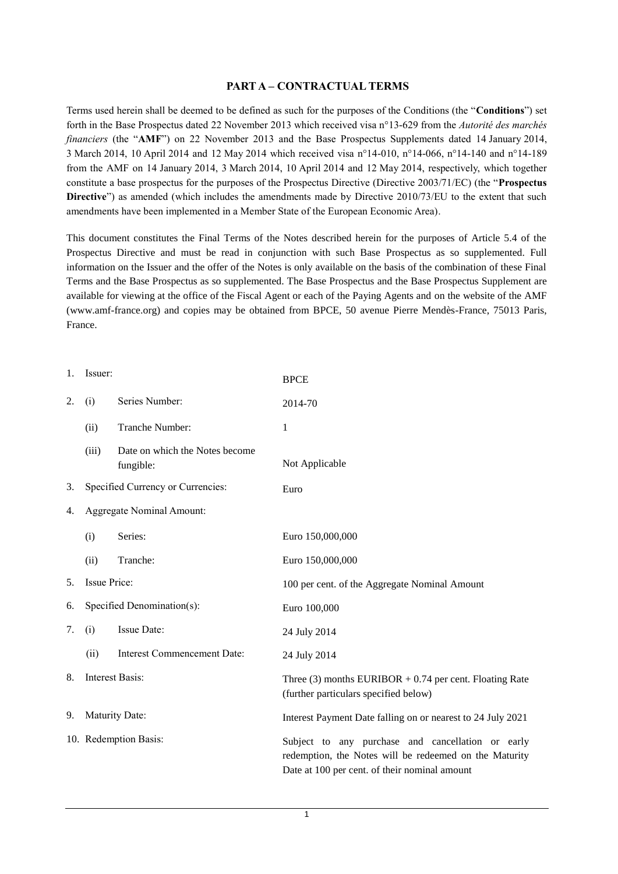### **PART A – CONTRACTUAL TERMS**

Terms used herein shall be deemed to be defined as such for the purposes of the Conditions (the "**Conditions**") set forth in the Base Prospectus dated 22 November 2013 which received visa n°13-629 from the *Autorité des marchés financiers* (the "**AMF**") on 22 November 2013 and the Base Prospectus Supplements dated 14 January 2014, 3 March 2014, 10 April 2014 and 12 May 2014 which received visa n°14-010, n°14-066, n°14-140 and n°14-189 from the AMF on 14 January 2014, 3 March 2014, 10 April 2014 and 12 May 2014, respectively, which together constitute a base prospectus for the purposes of the Prospectus Directive (Directive 2003/71/EC) (the "**Prospectus Directive**") as amended (which includes the amendments made by Directive 2010/73/EU to the extent that such amendments have been implemented in a Member State of the European Economic Area).

This document constitutes the Final Terms of the Notes described herein for the purposes of Article 5.4 of the Prospectus Directive and must be read in conjunction with such Base Prospectus as so supplemented. Full information on the Issuer and the offer of the Notes is only available on the basis of the combination of these Final Terms and the Base Prospectus as so supplemented. The Base Prospectus and the Base Prospectus Supplement are available for viewing at the office of the Fiscal Agent or each of the Paying Agents and on the website of the AMF (www.amf-france.org) and copies may be obtained from BPCE, 50 avenue Pierre Mendès-France, 75013 Paris, France.

| 1. | Issuer:                    |                                             | <b>BPCE</b>                                                                                                                                                  |
|----|----------------------------|---------------------------------------------|--------------------------------------------------------------------------------------------------------------------------------------------------------------|
| 2. | (i)                        | Series Number:                              | 2014-70                                                                                                                                                      |
|    | (ii)                       | Tranche Number:                             | 1                                                                                                                                                            |
|    | (iii)                      | Date on which the Notes become<br>fungible: | Not Applicable                                                                                                                                               |
| 3. |                            | Specified Currency or Currencies:           | Euro                                                                                                                                                         |
| 4. |                            | <b>Aggregate Nominal Amount:</b>            |                                                                                                                                                              |
|    | (i)                        | Series:                                     | Euro 150,000,000                                                                                                                                             |
|    | (ii)                       | Tranche:                                    | Euro 150,000,000                                                                                                                                             |
| 5. | Issue Price:               |                                             | 100 per cent. of the Aggregate Nominal Amount                                                                                                                |
| 6. | Specified Denomination(s): |                                             | Euro 100,000                                                                                                                                                 |
| 7. | (i)                        | Issue Date:                                 | 24 July 2014                                                                                                                                                 |
|    | (ii)                       | <b>Interest Commencement Date:</b>          | 24 July 2014                                                                                                                                                 |
| 8. |                            | Interest Basis:                             | Three $(3)$ months EURIBOR + 0.74 per cent. Floating Rate<br>(further particulars specified below)                                                           |
| 9. |                            | Maturity Date:                              | Interest Payment Date falling on or nearest to 24 July 2021                                                                                                  |
|    |                            | 10. Redemption Basis:                       | Subject to any purchase and cancellation or early<br>redemption, the Notes will be redeemed on the Maturity<br>Date at 100 per cent. of their nominal amount |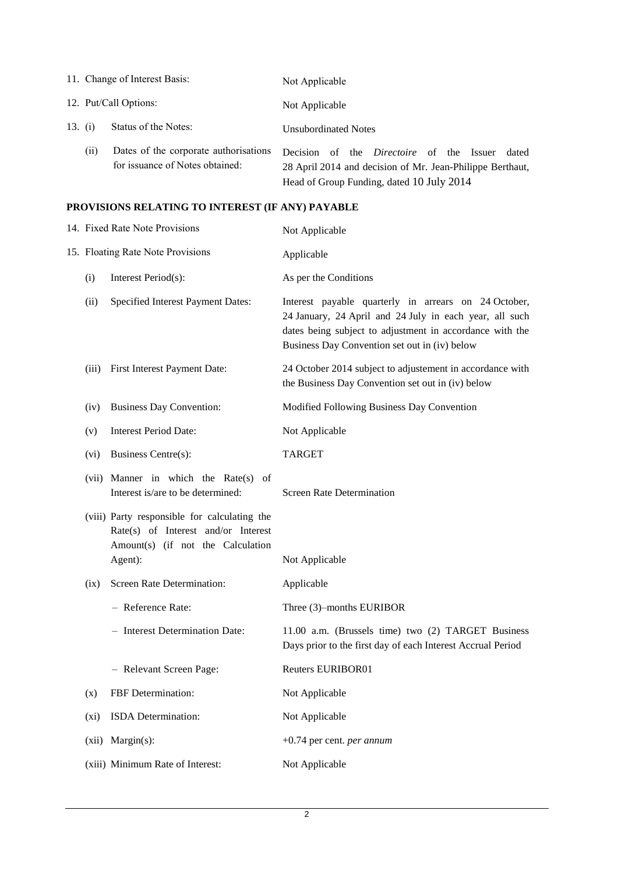|           |                       | 11. Change of Interest Basis:                                            | Not Applicable                                                                                                                                                         |
|-----------|-----------------------|--------------------------------------------------------------------------|------------------------------------------------------------------------------------------------------------------------------------------------------------------------|
|           | 12. Put/Call Options: |                                                                          | Not Applicable                                                                                                                                                         |
| 13. $(i)$ |                       | Status of the Notes:                                                     | Unsubordinated Notes                                                                                                                                                   |
|           | (11)                  | Dates of the corporate authorisations<br>for issuance of Notes obtained: | of the <i>Directoire</i> of the Issuer<br>Decision.<br>dated<br>28 April 2014 and decision of Mr. Jean-Philippe Berthaut,<br>Head of Group Funding, dated 10 July 2014 |

# **PROVISIONS RELATING TO INTEREST (IF ANY) PAYABLE**

| 14. Fixed Rate Note Provisions    |                                                                                                                          | Not Applicable                                                                                                                                                                                                               |  |
|-----------------------------------|--------------------------------------------------------------------------------------------------------------------------|------------------------------------------------------------------------------------------------------------------------------------------------------------------------------------------------------------------------------|--|
| 15. Floating Rate Note Provisions |                                                                                                                          | Applicable                                                                                                                                                                                                                   |  |
| (i)                               | Interest Period(s):                                                                                                      | As per the Conditions                                                                                                                                                                                                        |  |
| (ii)                              | Specified Interest Payment Dates:                                                                                        | Interest payable quarterly in arrears on 24 October,<br>24 January, 24 April and 24 July in each year, all such<br>dates being subject to adjustment in accordance with the<br>Business Day Convention set out in (iv) below |  |
| (iii)                             | First Interest Payment Date:                                                                                             | 24 October 2014 subject to adjustement in accordance with<br>the Business Day Convention set out in (iv) below                                                                                                               |  |
| (iv)                              | <b>Business Day Convention:</b>                                                                                          | Modified Following Business Day Convention                                                                                                                                                                                   |  |
| (v)                               | <b>Interest Period Date:</b>                                                                                             | Not Applicable                                                                                                                                                                                                               |  |
| (vi)                              | Business Centre(s):                                                                                                      | <b>TARGET</b>                                                                                                                                                                                                                |  |
|                                   | (vii) Manner in which the Rate(s) of<br>Interest is/are to be determined:                                                | <b>Screen Rate Determination</b>                                                                                                                                                                                             |  |
|                                   | (viii) Party responsible for calculating the<br>Rate(s) of Interest and/or Interest<br>Amount(s) (if not the Calculation |                                                                                                                                                                                                                              |  |
|                                   | Agent):                                                                                                                  | Not Applicable                                                                                                                                                                                                               |  |
| (ix)                              | Screen Rate Determination:                                                                                               | Applicable                                                                                                                                                                                                                   |  |
|                                   | - Reference Rate:                                                                                                        | Three (3)-months EURIBOR                                                                                                                                                                                                     |  |
|                                   | - Interest Determination Date:                                                                                           | 11.00 a.m. (Brussels time) two (2) TARGET Business<br>Days prior to the first day of each Interest Accrual Period                                                                                                            |  |
|                                   | - Relevant Screen Page:                                                                                                  | <b>Reuters EURIBOR01</b>                                                                                                                                                                                                     |  |
| (x)                               | FBF Determination:                                                                                                       | Not Applicable                                                                                                                                                                                                               |  |
| $(x_i)$                           | ISDA Determination:                                                                                                      | Not Applicable                                                                                                                                                                                                               |  |
| (xii)                             | $Margin(s)$ :                                                                                                            | $+0.74$ per cent. <i>per annum</i>                                                                                                                                                                                           |  |
|                                   | (xiii) Minimum Rate of Interest:                                                                                         | Not Applicable                                                                                                                                                                                                               |  |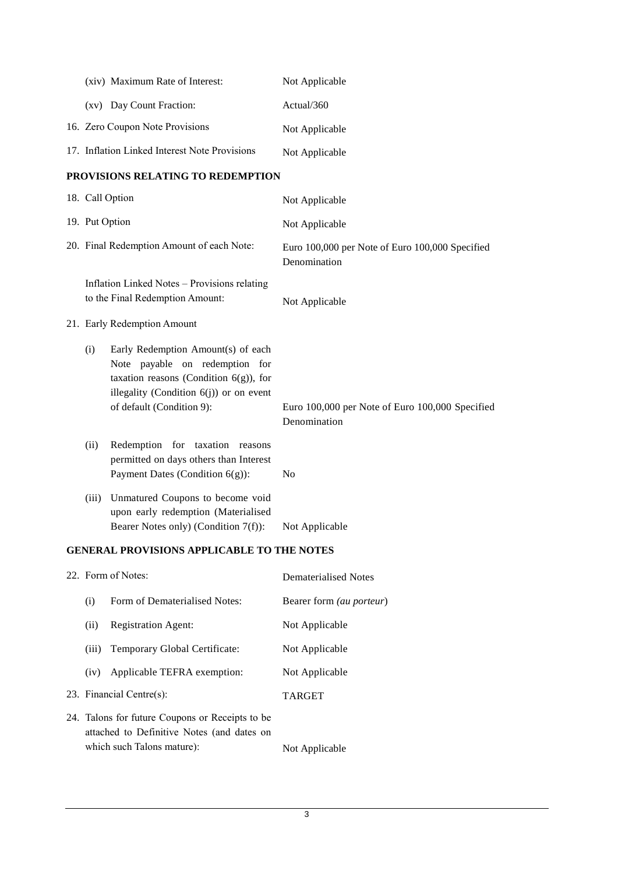|                                                      | (xiv) Maximum Rate of Interest:                                                                                                                                                              | Not Applicable                                                  |
|------------------------------------------------------|----------------------------------------------------------------------------------------------------------------------------------------------------------------------------------------------|-----------------------------------------------------------------|
|                                                      | (xv) Day Count Fraction:                                                                                                                                                                     | Actual/360                                                      |
|                                                      | 16. Zero Coupon Note Provisions                                                                                                                                                              | Not Applicable                                                  |
|                                                      | 17. Inflation Linked Interest Note Provisions                                                                                                                                                | Not Applicable                                                  |
|                                                      | PROVISIONS RELATING TO REDEMPTION                                                                                                                                                            |                                                                 |
|                                                      | 18. Call Option                                                                                                                                                                              | Not Applicable                                                  |
| 19. Put Option                                       |                                                                                                                                                                                              | Not Applicable                                                  |
|                                                      | 20. Final Redemption Amount of each Note:                                                                                                                                                    | Euro 100,000 per Note of Euro 100,000 Specified<br>Denomination |
|                                                      | Inflation Linked Notes - Provisions relating<br>to the Final Redemption Amount:                                                                                                              | Not Applicable                                                  |
|                                                      | 21. Early Redemption Amount                                                                                                                                                                  |                                                                 |
| (i)                                                  | Early Redemption Amount(s) of each<br>Note payable on redemption for<br>taxation reasons (Condition $6(g)$ ), for<br>illegality (Condition $6(j)$ ) or on event<br>of default (Condition 9): | Euro 100,000 per Note of Euro 100,000 Specified<br>Denomination |
| (ii)                                                 | Redemption for taxation reasons<br>permitted on days others than Interest<br>Payment Dates (Condition $6(g)$ ):                                                                              | N <sub>0</sub>                                                  |
| (iii)                                                | Unmatured Coupons to become void<br>upon early redemption (Materialised<br>Bearer Notes only) (Condition 7(f)):                                                                              | Not Applicable                                                  |
| <b>TED IT BROUGLOUG I BBI IGI BI E HO BUIL MORES</b> |                                                                                                                                                                                              |                                                                 |

### **GENERAL PROVISIONS APPLICABLE TO THE NOTES**

| 22. Form of Notes:                                                                            |                               | Dematerialised Notes            |
|-----------------------------------------------------------------------------------------------|-------------------------------|---------------------------------|
| (i)                                                                                           | Form of Dematerialised Notes: | Bearer form <i>(au porteur)</i> |
| <b>Registration Agent:</b><br>(ii)                                                            |                               | Not Applicable                  |
| Temporary Global Certificate:<br>(iii)                                                        |                               | Not Applicable                  |
| (iv)                                                                                          | Applicable TEFRA exemption:   | Not Applicable                  |
| 23. Financial Centre $(s)$ :                                                                  |                               | <b>TARGET</b>                   |
| 24. Talons for future Coupons or Receipts to be<br>attached to Definitive Notes (and dates on |                               |                                 |
| which such Talons mature):                                                                    |                               | Not Applicable                  |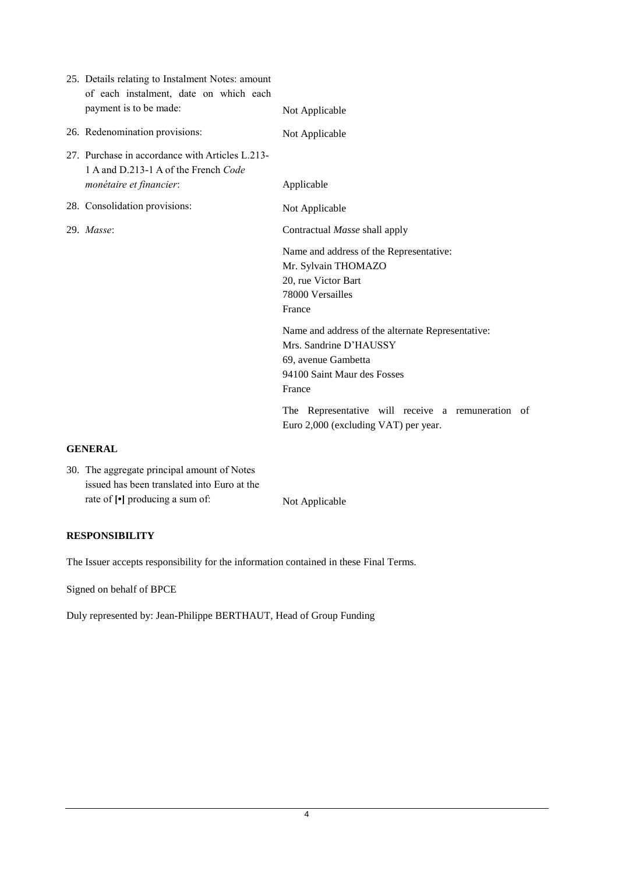| 25. Details relating to Instalment Notes: amount<br>of each instalment, date on which each<br>payment is to be made: | Not Applicable                                                                                                                              |
|----------------------------------------------------------------------------------------------------------------------|---------------------------------------------------------------------------------------------------------------------------------------------|
| 26. Redenomination provisions:                                                                                       | Not Applicable                                                                                                                              |
| 27. Purchase in accordance with Articles L.213-<br>1 A and D.213-1 A of the French Code<br>monétaire et financier:   | Applicable                                                                                                                                  |
| 28. Consolidation provisions:                                                                                        | Not Applicable                                                                                                                              |
| 29. Masse:                                                                                                           | Contractual Masse shall apply                                                                                                               |
|                                                                                                                      | Name and address of the Representative:<br>Mr. Sylvain THOMAZO<br>20, rue Victor Bart<br>78000 Versailles<br>France                         |
|                                                                                                                      | Name and address of the alternate Representative:<br>Mrs. Sandrine D'HAUSSY<br>69, avenue Gambetta<br>94100 Saint Maur des Fosses<br>France |
|                                                                                                                      | The Representative will receive a remuneration of<br>Euro 2,000 (excluding VAT) per year.                                                   |

### **GENERAL**

30. The aggregate principal amount of Notes issued has been translated into Euro at the rate of  $\lceil \cdot \rceil$  producing a sum of: Not Applicable

## **RESPONSIBILITY**

The Issuer accepts responsibility for the information contained in these Final Terms.

Signed on behalf of BPCE

Duly represented by: Jean-Philippe BERTHAUT, Head of Group Funding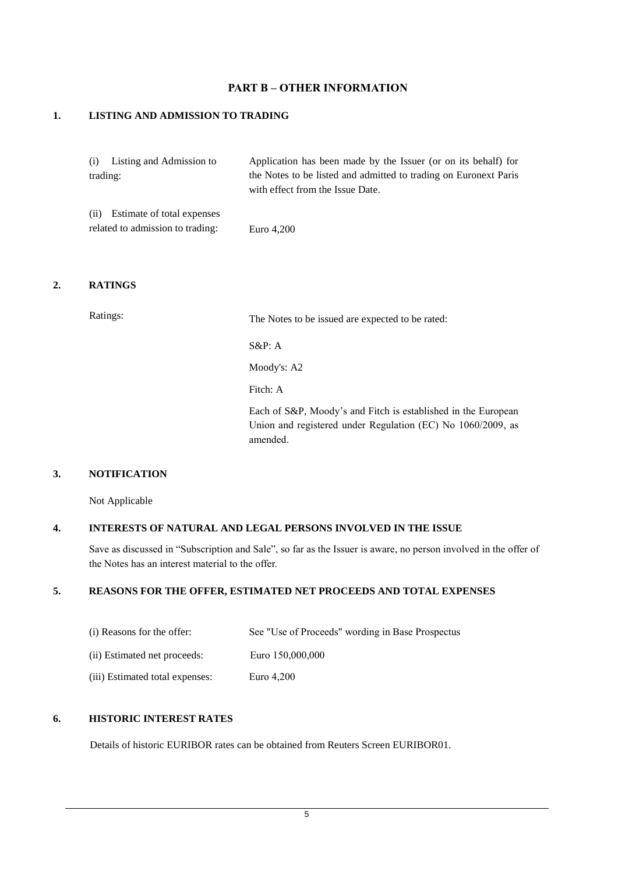## **PART B – OTHER INFORMATION**

### **1. LISTING AND ADMISSION TO TRADING**

| (i) Listing and Admission to     | Application has been made by the Issuer (or on its behalf) for   |
|----------------------------------|------------------------------------------------------------------|
| trading:                         | the Notes to be listed and admitted to trading on Euronext Paris |
|                                  | with effect from the Issue Date.                                 |
| (ii) Estimate of total expenses  |                                                                  |
| related to admission to trading: | Euro 4,200                                                       |

#### **2. RATINGS**

Ratings: The Notes to be issued are expected to be rated:

S&P: A

Moody's: A2

Fitch: A

Each of S&P, Moody's and Fitch is established in the European Union and registered under Regulation (EC) No 1060/2009, as amended.

### **3. NOTIFICATION**

Not Applicable

### **4. INTERESTS OF NATURAL AND LEGAL PERSONS INVOLVED IN THE ISSUE**

Save as discussed in "Subscription and Sale", so far as the Issuer is aware, no person involved in the offer of the Notes has an interest material to the offer.

### **5. REASONS FOR THE OFFER, ESTIMATED NET PROCEEDS AND TOTAL EXPENSES**

| (i) Reasons for the offer:      | See "Use of Proceeds" wording in Base Prospectus |
|---------------------------------|--------------------------------------------------|
| (ii) Estimated net proceeds:    | Euro 150,000,000                                 |
| (iii) Estimated total expenses: | Euro 4.200                                       |

## **6. HISTORIC INTEREST RATES**

Details of historic EURIBOR rates can be obtained from Reuters Screen EURIBOR01.